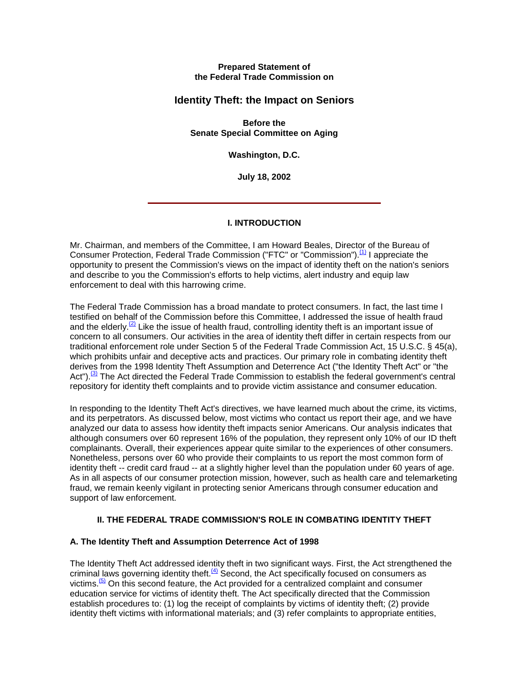#### **Prepared Statement of the Federal Trade Commission on**

# **Identity Theft: the Impact on Seniors**

**Before the Senate Special Committee on Aging**

**Washington, D.C.** 

**July 18, 2002**

## **I. INTRODUCTION**

Mr. Chairman, and members of the Committee, I am Howard Beales, Director of the Bureau of Consumer Protection, Federal Trade Commission ("FTC" or "Commission").<sup>(1)</sup> I appreciate the opportunity to present the Commission's views on the impact of identity theft on the nation's seniors and describe to you the Commission's efforts to help victims, alert industry and equip law enforcement to deal with this harrowing crime.

The Federal Trade Commission has a broad mandate to protect consumers. In fact, the last time I testified on behalf of the Commission before this Committee, I addressed the issue of health fraud and the elderly.<sup>(2)</sup> Like the issue of health fraud, controlling identity theft is an important issue of concern to all consumers. Our activities in the area of identity theft differ in certain respects from our traditional enforcement role under Section 5 of the Federal Trade Commission Act, 15 U.S.C. § 45(a), which prohibits unfair and deceptive acts and practices. Our primary role in combating identity theft derives from the 1998 Identity Theft Assumption and Deterrence Act ("the Identity Theft Act" or "the Act").<sup>(3)</sup> The Act directed the Federal Trade Commission to establish the federal government's central repository for identity theft complaints and to provide victim assistance and consumer education.

In responding to the Identity Theft Act's directives, we have learned much about the crime, its victims, and its perpetrators. As discussed below, most victims who contact us report their age, and we have analyzed our data to assess how identity theft impacts senior Americans. Our analysis indicates that although consumers over 60 represent 16% of the population, they represent only 10% of our ID theft complainants. Overall, their experiences appear quite similar to the experiences of other consumers. Nonetheless, persons over 60 who provide their complaints to us report the most common form of identity theft -- credit card fraud -- at a slightly higher level than the population under 60 years of age. As in all aspects of our consumer protection mission, however, such as health care and telemarketing fraud, we remain keenly vigilant in protecting senior Americans through consumer education and support of law enforcement.

## **II. THE FEDERAL TRADE COMMISSION'S ROLE IN COMBATING IDENTITY THEFT**

## **A. The Identity Theft and Assumption Deterrence Act of 1998**

The Identity Theft Act addressed identity theft in two significant ways. First, the Act strengthened the criminal laws governing identity theft. $\frac{4}{5}$  Second, the Act specifically focused on consumers as victims. $\frac{(5)}{5}$  On this second feature, the Act provided for a centralized complaint and consumer education service for victims of identity theft. The Act specifically directed that the Commission establish procedures to: (1) log the receipt of complaints by victims of identity theft; (2) provide identity theft victims with informational materials; and (3) refer complaints to appropriate entities,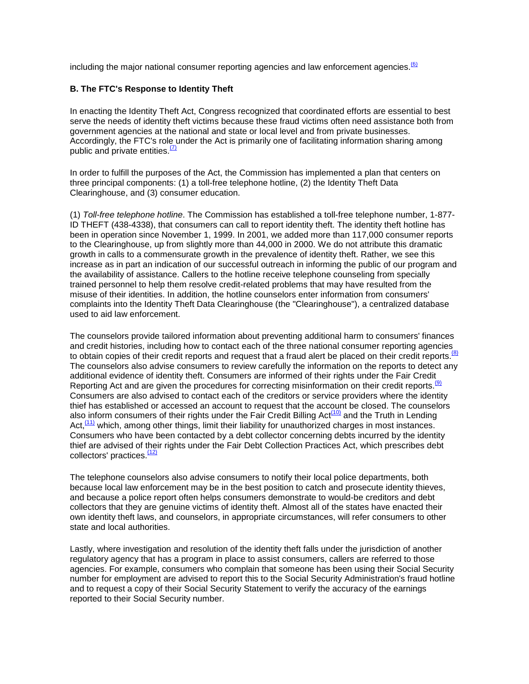including the major national consumer reporting agencies and law enforcement agencies. $\frac{(6)}{6}$ 

#### **B. The FTC's Response to Identity Theft**

In enacting the Identity Theft Act, Congress recognized that coordinated efforts are essential to best serve the needs of identity theft victims because these fraud victims often need assistance both from government agencies at the national and state or local level and from private businesses. Accordingly, the FTC's role under the Act is primarily one of facilitating information sharing among public and private entities. $\frac{7}{2}$ 

In order to fulfill the purposes of the Act, the Commission has implemented a plan that centers on three principal components: (1) a toll-free telephone hotline, (2) the Identity Theft Data Clearinghouse, and (3) consumer education.

(1) *Toll-free telephone hotline*. The Commission has established a toll-free telephone number, 1-877- ID THEFT (438-4338), that consumers can call to report identity theft. The identity theft hotline has been in operation since November 1, 1999. In 2001, we added more than 117,000 consumer reports to the Clearinghouse, up from slightly more than 44,000 in 2000. We do not attribute this dramatic growth in calls to a commensurate growth in the prevalence of identity theft. Rather, we see this increase as in part an indication of our successful outreach in informing the public of our program and the availability of assistance. Callers to the hotline receive telephone counseling from specially trained personnel to help them resolve credit-related problems that may have resulted from the misuse of their identities. In addition, the hotline counselors enter information from consumers' complaints into the Identity Theft Data Clearinghouse (the "Clearinghouse"), a centralized database used to aid law enforcement.

The counselors provide tailored information about preventing additional harm to consumers' finances and credit histories, including how to contact each of the three national consumer reporting agencies to obtain copies of their credit reports and request that a fraud alert be placed on their credit reports.<sup>(8)</sup> The counselors also advise consumers to review carefully the information on the reports to detect any additional evidence of identity theft. Consumers are informed of their rights under the Fair Credit Reporting Act and are given the procedures for correcting misinformation on their credit reports.<sup>(9)</sup> Consumers are also advised to contact each of the creditors or service providers where the identity thief has established or accessed an account to request that the account be closed. The counselors also inform consumers of their rights under the Fair Credit Billing Act<sup>(10)</sup> and the Truth in Lending Act,<sup>(11)</sup> which, among other things, limit their liability for unauthorized charges in most instances. Consumers who have been contacted by a debt collector concerning debts incurred by the identity thief are advised of their rights under the Fair Debt Collection Practices Act, which prescribes debt collectors' practices.<sup>(12)</sup>

The telephone counselors also advise consumers to notify their local police departments, both because local law enforcement may be in the best position to catch and prosecute identity thieves, and because a police report often helps consumers demonstrate to would-be creditors and debt collectors that they are genuine victims of identity theft. Almost all of the states have enacted their own identity theft laws, and counselors, in appropriate circumstances, will refer consumers to other state and local authorities.

Lastly, where investigation and resolution of the identity theft falls under the jurisdiction of another regulatory agency that has a program in place to assist consumers, callers are referred to those agencies. For example, consumers who complain that someone has been using their Social Security number for employment are advised to report this to the Social Security Administration's fraud hotline and to request a copy of their Social Security Statement to verify the accuracy of the earnings reported to their Social Security number.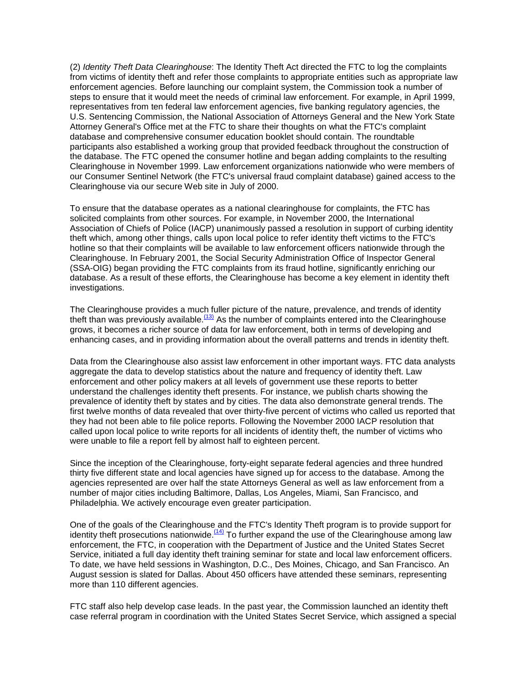(2) *Identity Theft Data Clearinghouse*: The Identity Theft Act directed the FTC to log the complaints from victims of identity theft and refer those complaints to appropriate entities such as appropriate law enforcement agencies. Before launching our complaint system, the Commission took a number of steps to ensure that it would meet the needs of criminal law enforcement. For example, in April 1999, representatives from ten federal law enforcement agencies, five banking regulatory agencies, the U.S. Sentencing Commission, the National Association of Attorneys General and the New York State Attorney General's Office met at the FTC to share their thoughts on what the FTC's complaint database and comprehensive consumer education booklet should contain. The roundtable participants also established a working group that provided feedback throughout the construction of the database. The FTC opened the consumer hotline and began adding complaints to the resulting Clearinghouse in November 1999. Law enforcement organizations nationwide who were members of our Consumer Sentinel Network (the FTC's universal fraud complaint database) gained access to the Clearinghouse via our secure Web site in July of 2000.

To ensure that the database operates as a national clearinghouse for complaints, the FTC has solicited complaints from other sources. For example, in November 2000, the International Association of Chiefs of Police (IACP) unanimously passed a resolution in support of curbing identity theft which, among other things, calls upon local police to refer identity theft victims to the FTC's hotline so that their complaints will be available to law enforcement officers nationwide through the Clearinghouse. In February 2001, the Social Security Administration Office of Inspector General (SSA-OIG) began providing the FTC complaints from its fraud hotline, significantly enriching our database. As a result of these efforts, the Clearinghouse has become a key element in identity theft investigations.

The Clearinghouse provides a much fuller picture of the nature, prevalence, and trends of identity theft than was previously available.<sup>(13)</sup> As the number of complaints entered into the Clearinghouse grows, it becomes a richer source of data for law enforcement, both in terms of developing and enhancing cases, and in providing information about the overall patterns and trends in identity theft.

Data from the Clearinghouse also assist law enforcement in other important ways. FTC data analysts aggregate the data to develop statistics about the nature and frequency of identity theft. Law enforcement and other policy makers at all levels of government use these reports to better understand the challenges identity theft presents. For instance, we publish charts showing the prevalence of identity theft by states and by cities. The data also demonstrate general trends. The first twelve months of data revealed that over thirty-five percent of victims who called us reported that they had not been able to file police reports. Following the November 2000 IACP resolution that called upon local police to write reports for all incidents of identity theft, the number of victims who were unable to file a report fell by almost half to eighteen percent.

Since the inception of the Clearinghouse, forty-eight separate federal agencies and three hundred thirty five different state and local agencies have signed up for access to the database. Among the agencies represented are over half the state Attorneys General as well as law enforcement from a number of major cities including Baltimore, Dallas, Los Angeles, Miami, San Francisco, and Philadelphia. We actively encourage even greater participation.

One of the goals of the Clearinghouse and the FTC's Identity Theft program is to provide support for identity theft prosecutions nationwide.<sup> $(14)$ </sup> To further expand the use of the Clearinghouse among law enforcement, the FTC, in cooperation with the Department of Justice and the United States Secret Service, initiated a full day identity theft training seminar for state and local law enforcement officers. To date, we have held sessions in Washington, D.C., Des Moines, Chicago, and San Francisco. An August session is slated for Dallas. About 450 officers have attended these seminars, representing more than 110 different agencies.

FTC staff also help develop case leads. In the past year, the Commission launched an identity theft case referral program in coordination with the United States Secret Service, which assigned a special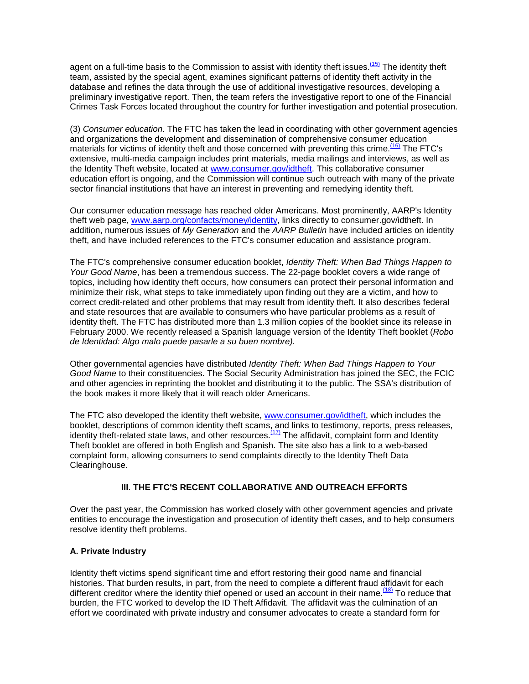agent on a full-time basis to the Commission to assist with identity theft issues.<sup>(15)</sup> The identity theft team, assisted by the special agent, examines significant patterns of identity theft activity in the database and refines the data through the use of additional investigative resources, developing a preliminary investigative report. Then, the team refers the investigative report to one of the Financial Crimes Task Forces located throughout the country for further investigation and potential prosecution.

(3) *Consumer education*. The FTC has taken the lead in coordinating with other government agencies and organizations the development and dissemination of comprehensive consumer education materials for victims of identity theft and those concerned with preventing this crime.<sup>(16)</sup> The FTC's extensive, multi-media campaign includes print materials, media mailings and interviews, as well as the Identity Theft website, located at [www.consumer.gov/idtheft.](http://www.consumer.gov/idtheft) This collaborative consumer education effort is ongoing, and the Commission will continue such outreach with many of the private sector financial institutions that have an interest in preventing and remedying identity theft.

Our consumer education message has reached older Americans. Most prominently, AARP's Identity theft web page, [www.aarp.org/confacts/money/identity,](http://www.aarp.org/confacts/money/identity) links directly to consumer.gov/idtheft. In addition, numerous issues of *My Generation* and the *AARP Bulletin* have included articles on identity theft, and have included references to the FTC's consumer education and assistance program.

The FTC's comprehensive consumer education booklet, *Identity Theft: When Bad Things Happen to Your Good Name*, has been a tremendous success. The 22-page booklet covers a wide range of topics, including how identity theft occurs, how consumers can protect their personal information and minimize their risk, what steps to take immediately upon finding out they are a victim, and how to correct credit-related and other problems that may result from identity theft. It also describes federal and state resources that are available to consumers who have particular problems as a result of identity theft. The FTC has distributed more than 1.3 million copies of the booklet since its release in February 2000. We recently released a Spanish language version of the Identity Theft booklet (*Robo de Identidad: Algo malo puede pasarle a su buen nombre).*

Other governmental agencies have distributed *Identity Theft: When Bad Things Happen to Your Good Name* to their constituencies. The Social Security Administration has joined the SEC, the FCIC and other agencies in reprinting the booklet and distributing it to the public. The SSA's distribution of the book makes it more likely that it will reach older Americans.

The FTC also developed the identity theft website, [www.consumer.gov/idtheft,](http://www.consumer.gov/idtheft) which includes the booklet, descriptions of common identity theft scams, and links to testimony, reports, press releases, identity theft-related state laws, and other resources.<sup>(17)</sup> The affidavit, complaint form and Identity Theft booklet are offered in both English and Spanish. The site also has a link to a web-based complaint form, allowing consumers to send complaints directly to the Identity Theft Data Clearinghouse.

## **III**. **THE FTC'S RECENT COLLABORATIVE AND OUTREACH EFFORTS**

Over the past year, the Commission has worked closely with other government agencies and private entities to encourage the investigation and prosecution of identity theft cases, and to help consumers resolve identity theft problems.

## **A. Private Industry**

Identity theft victims spend significant time and effort restoring their good name and financial histories. That burden results, in part, from the need to complete a different fraud affidavit for each different creditor where the identity thief opened or used an account in their name.<sup> $(18)$ </sup> To reduce that burden, the FTC worked to develop the ID Theft Affidavit. The affidavit was the culmination of an effort we coordinated with private industry and consumer advocates to create a standard form for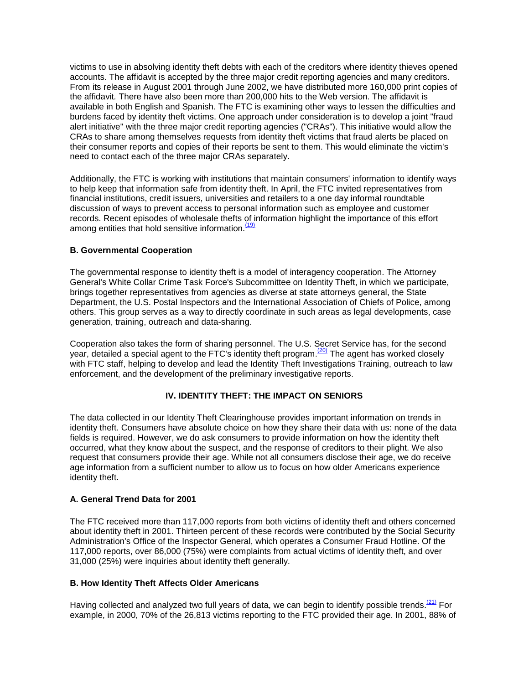victims to use in absolving identity theft debts with each of the creditors where identity thieves opened accounts. The affidavit is accepted by the three major credit reporting agencies and many creditors. From its release in August 2001 through June 2002, we have distributed more 160,000 print copies of the affidavit*.* There have also been more than 200,000 hits to the Web version. The affidavit is available in both English and Spanish. The FTC is examining other ways to lessen the difficulties and burdens faced by identity theft victims. One approach under consideration is to develop a joint "fraud alert initiative" with the three major credit reporting agencies ("CRAs"). This initiative would allow the CRAs to share among themselves requests from identity theft victims that fraud alerts be placed on their consumer reports and copies of their reports be sent to them. This would eliminate the victim's need to contact each of the three major CRAs separately.

Additionally, the FTC is working with institutions that maintain consumers' information to identify ways to help keep that information safe from identity theft. In April, the FTC invited representatives from financial institutions, credit issuers, universities and retailers to a one day informal roundtable discussion of ways to prevent access to personal information such as employee and customer records. Recent episodes of wholesale thefts of information highlight the importance of this effort among entities that hold sensitive information. $<sup>(1)</sup>$ </sup>

#### **B. Governmental Cooperation**

The governmental response to identity theft is a model of interagency cooperation. The Attorney General's White Collar Crime Task Force's Subcommittee on Identity Theft, in which we participate, brings together representatives from agencies as diverse at state attorneys general, the State Department, the U.S. Postal Inspectors and the International Association of Chiefs of Police, among others. This group serves as a way to directly coordinate in such areas as legal developments, case generation, training, outreach and data-sharing.

Cooperation also takes the form of sharing personnel. The U.S. Secret Service has, for the second year, detailed a special agent to the FTC's identity theft program.<sup>(20)</sup> The agent has worked closely with FTC staff, helping to develop and lead the Identity Theft Investigations Training, outreach to law enforcement, and the development of the preliminary investigative reports.

## **IV. IDENTITY THEFT: THE IMPACT ON SENIORS**

The data collected in our Identity Theft Clearinghouse provides important information on trends in identity theft. Consumers have absolute choice on how they share their data with us: none of the data fields is required. However, we do ask consumers to provide information on how the identity theft occurred, what they know about the suspect, and the response of creditors to their plight. We also request that consumers provide their age. While not all consumers disclose their age, we do receive age information from a sufficient number to allow us to focus on how older Americans experience identity theft.

#### **A. General Trend Data for 2001**

The FTC received more than 117,000 reports from both victims of identity theft and others concerned about identity theft in 2001. Thirteen percent of these records were contributed by the Social Security Administration's Office of the Inspector General, which operates a Consumer Fraud Hotline. Of the 117,000 reports, over 86,000 (75%) were complaints from actual victims of identity theft, and over 31,000 (25%) were inquiries about identity theft generally.

#### **B. How Identity Theft Affects Older Americans**

Having collected and analyzed two full years of data, we can begin to identify possible trends.  $\frac{(21)}{20}$  For example, in 2000, 70% of the 26,813 victims reporting to the FTC provided their age. In 2001, 88% of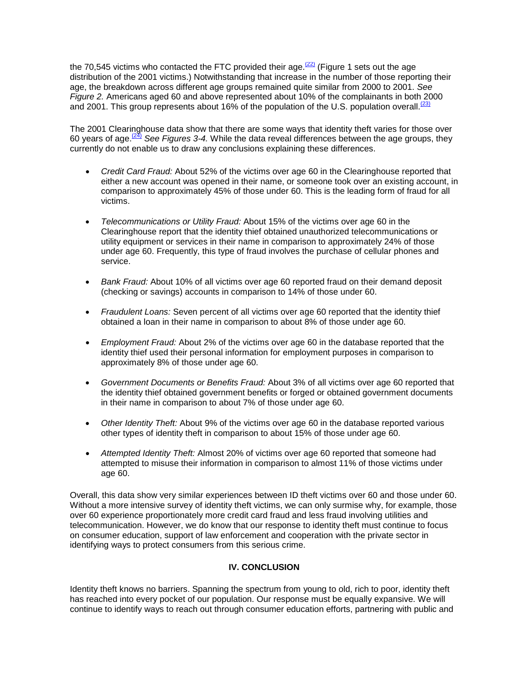the 70,545 victims who contacted the FTC provided their age. $(22)$  (Figure 1 sets out the age distribution of the 2001 victims.) Notwithstanding that increase in the number of those reporting their age, the breakdown across different age groups remained quite similar from 2000 to 2001. *See Figure 2.* Americans aged 60 and above represented about 10% of the complainants in both 2000 and 2001. This group represents about 16% of the population of the U.S. population overall.  $^{231}$ 

The 2001 Clearinghouse data show that there are some ways that identity theft varies for those over 60 years of age.(24) *See Figures 3-4.* While the data reveal differences between the age groups, they currently do not enable us to draw any conclusions explaining these differences.

- *Credit Card Fraud:* About 52% of the victims over age 60 in the Clearinghouse reported that either a new account was opened in their name, or someone took over an existing account, in comparison to approximately 45% of those under 60. This is the leading form of fraud for all victims.
- *Telecommunications or Utility Fraud:* About 15% of the victims over age 60 in the Clearinghouse report that the identity thief obtained unauthorized telecommunications or utility equipment or services in their name in comparison to approximately 24% of those under age 60. Frequently, this type of fraud involves the purchase of cellular phones and service.
- *Bank Fraud:* About 10% of all victims over age 60 reported fraud on their demand deposit (checking or savings) accounts in comparison to 14% of those under 60.
- *Fraudulent Loans:* Seven percent of all victims over age 60 reported that the identity thief obtained a loan in their name in comparison to about 8% of those under age 60.
- *Employment Fraud:* About 2% of the victims over age 60 in the database reported that the identity thief used their personal information for employment purposes in comparison to approximately 8% of those under age 60.
- *Government Documents or Benefits Fraud:* About 3% of all victims over age 60 reported that the identity thief obtained government benefits or forged or obtained government documents in their name in comparison to about 7% of those under age 60.
- *Other Identity Theft:* About 9% of the victims over age 60 in the database reported various other types of identity theft in comparison to about 15% of those under age 60.
- *Attempted Identity Theft:* Almost 20% of victims over age 60 reported that someone had attempted to misuse their information in comparison to almost 11% of those victims under age 60.

Overall, this data show very similar experiences between ID theft victims over 60 and those under 60. Without a more intensive survey of identity theft victims, we can only surmise why, for example, those over 60 experience proportionately more credit card fraud and less fraud involving utilities and telecommunication. However, we do know that our response to identity theft must continue to focus on consumer education, support of law enforcement and cooperation with the private sector in identifying ways to protect consumers from this serious crime.

## **IV. CONCLUSION**

Identity theft knows no barriers. Spanning the spectrum from young to old, rich to poor, identity theft has reached into every pocket of our population. Our response must be equally expansive. We will continue to identify ways to reach out through consumer education efforts, partnering with public and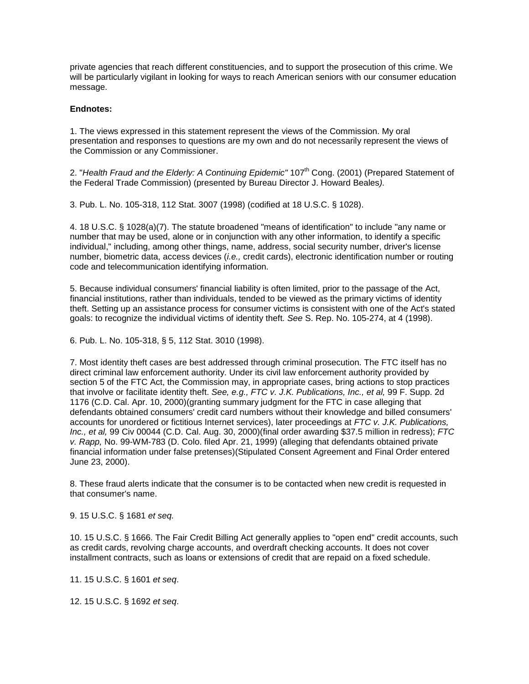private agencies that reach different constituencies, and to support the prosecution of this crime. We will be particularly vigilant in looking for ways to reach American seniors with our consumer education message.

#### **Endnotes:**

1. The views expressed in this statement represent the views of the Commission. My oral presentation and responses to questions are my own and do not necessarily represent the views of the Commission or any Commissioner.

2. "Health Fraud and the Elderly: A Continuing Epidemic" 107<sup>th</sup> Cong. (2001) (Prepared Statement of the Federal Trade Commission) (presented by Bureau Director J. Howard Beales*).*

3. Pub. L. No. 105-318, 112 Stat. 3007 (1998) (codified at 18 U.S.C. § 1028).

4. 18 U.S.C. § 1028(a)(7). The statute broadened "means of identification" to include "any name or number that may be used, alone or in conjunction with any other information, to identify a specific individual," including, among other things, name, address, social security number, driver's license number, biometric data, access devices (*i.e.,* credit cards), electronic identification number or routing code and telecommunication identifying information.

5. Because individual consumers' financial liability is often limited, prior to the passage of the Act, financial institutions, rather than individuals, tended to be viewed as the primary victims of identity theft. Setting up an assistance process for consumer victims is consistent with one of the Act's stated goals: to recognize the individual victims of identity theft*. See* S. Rep. No. 105-274, at 4 (1998).

6. Pub. L. No. 105-318, § 5, 112 Stat. 3010 (1998).

7. Most identity theft cases are best addressed through criminal prosecution. The FTC itself has no direct criminal law enforcement authority. Under its civil law enforcement authority provided by section 5 of the FTC Act, the Commission may, in appropriate cases, bring actions to stop practices that involve or facilitate identity theft. *See, e.g., FTC v. J.K. Publications, Inc., et al,* 99 F. Supp. 2d 1176 (C.D. Cal. Apr. 10, 2000)(granting summary judgment for the FTC in case alleging that defendants obtained consumers' credit card numbers without their knowledge and billed consumers' accounts for unordered or fictitious Internet services), later proceedings at *FTC v. J.K. Publications, Inc., et al,* 99 Civ 00044 (C.D. Cal. Aug. 30, 2000)(final order awarding \$37.5 million in redress); *FTC v. Rapp,* No. 99-WM-783 (D. Colo. filed Apr. 21, 1999) (alleging that defendants obtained private financial information under false pretenses)(Stipulated Consent Agreement and Final Order entered June 23, 2000).

8. These fraud alerts indicate that the consumer is to be contacted when new credit is requested in that consumer's name.

9. 15 U.S.C. § 1681 *et seq.*

10. 15 U.S.C. § 1666. The Fair Credit Billing Act generally applies to "open end" credit accounts, such as credit cards, revolving charge accounts, and overdraft checking accounts. It does not cover installment contracts, such as loans or extensions of credit that are repaid on a fixed schedule.

11. 15 U.S.C. § 1601 *et seq*.

12. 15 U.S.C. § 1692 *et seq*.